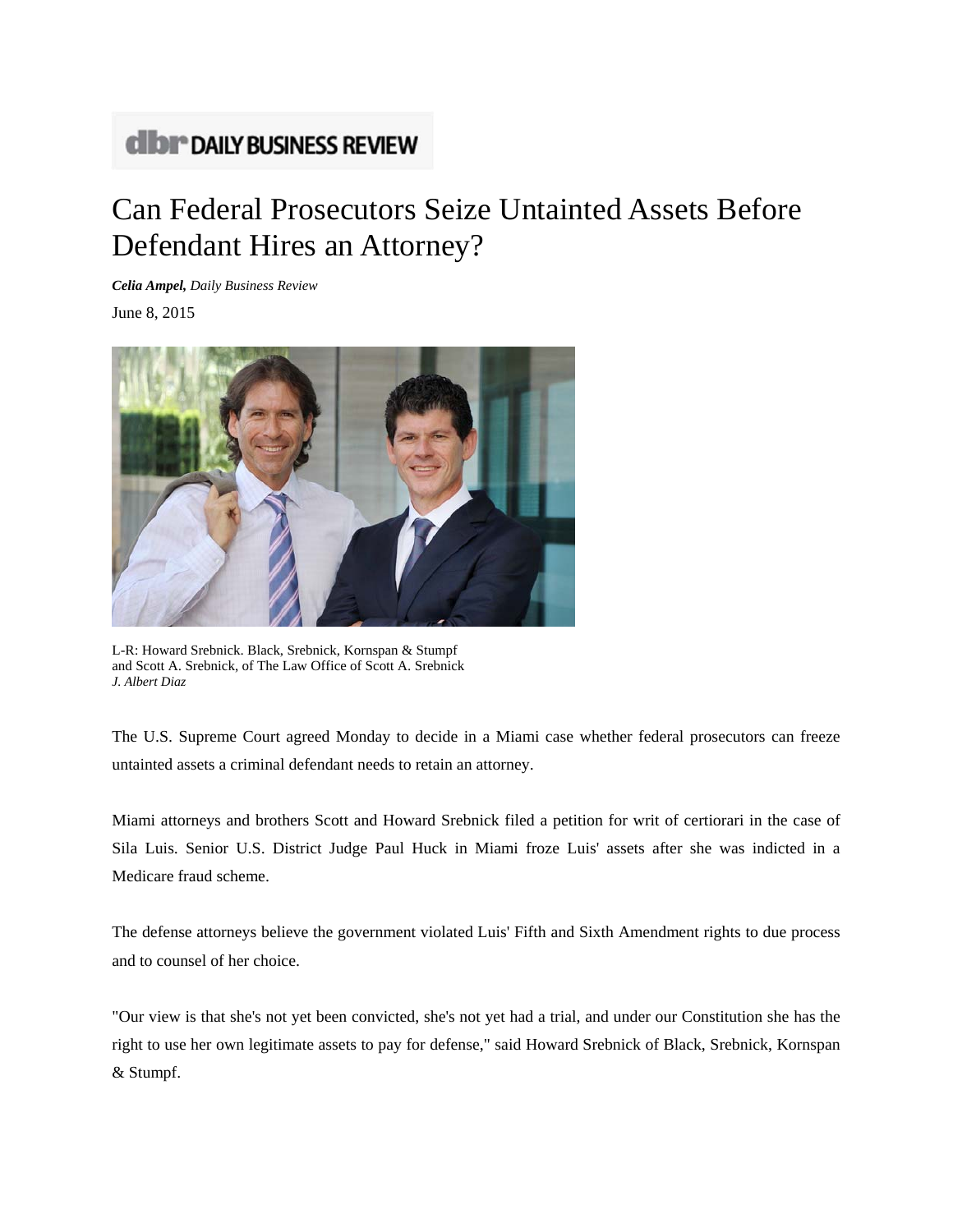## **dibr** DAILY BUSINESS REVIEW

## Can Federal Prosecutors Seize Untainted Assets Before Defendant Hires an Attorney?

*Celia Ampel, Daily Business Review* June 8, 2015



L-R: Howard Srebnick. Black, Srebnick, Kornspan & Stumpf and Scott A. Srebnick, of The Law Office of Scott A. Srebnick *J. Albert Diaz*

The U.S. Supreme Court agreed Monday to decide in a Miami case whether federal prosecutors can freeze untainted assets a criminal defendant needs to retain an attorney.

Miami attorneys and brothers Scott and Howard Srebnick filed a petition for writ of certiorari in the case of Sila Luis. Senior U.S. District Judge Paul Huck in Miami froze Luis' assets after she was indicted in a Medicare fraud scheme.

The defense attorneys believe the government violated Luis' Fifth and Sixth Amendment rights to due process and to counsel of her choice.

"Our view is that she's not yet been convicted, she's not yet had a trial, and under our Constitution she has the right to use her own legitimate assets to pay for defense," said Howard Srebnick of Black, Srebnick, Kornspan & Stumpf.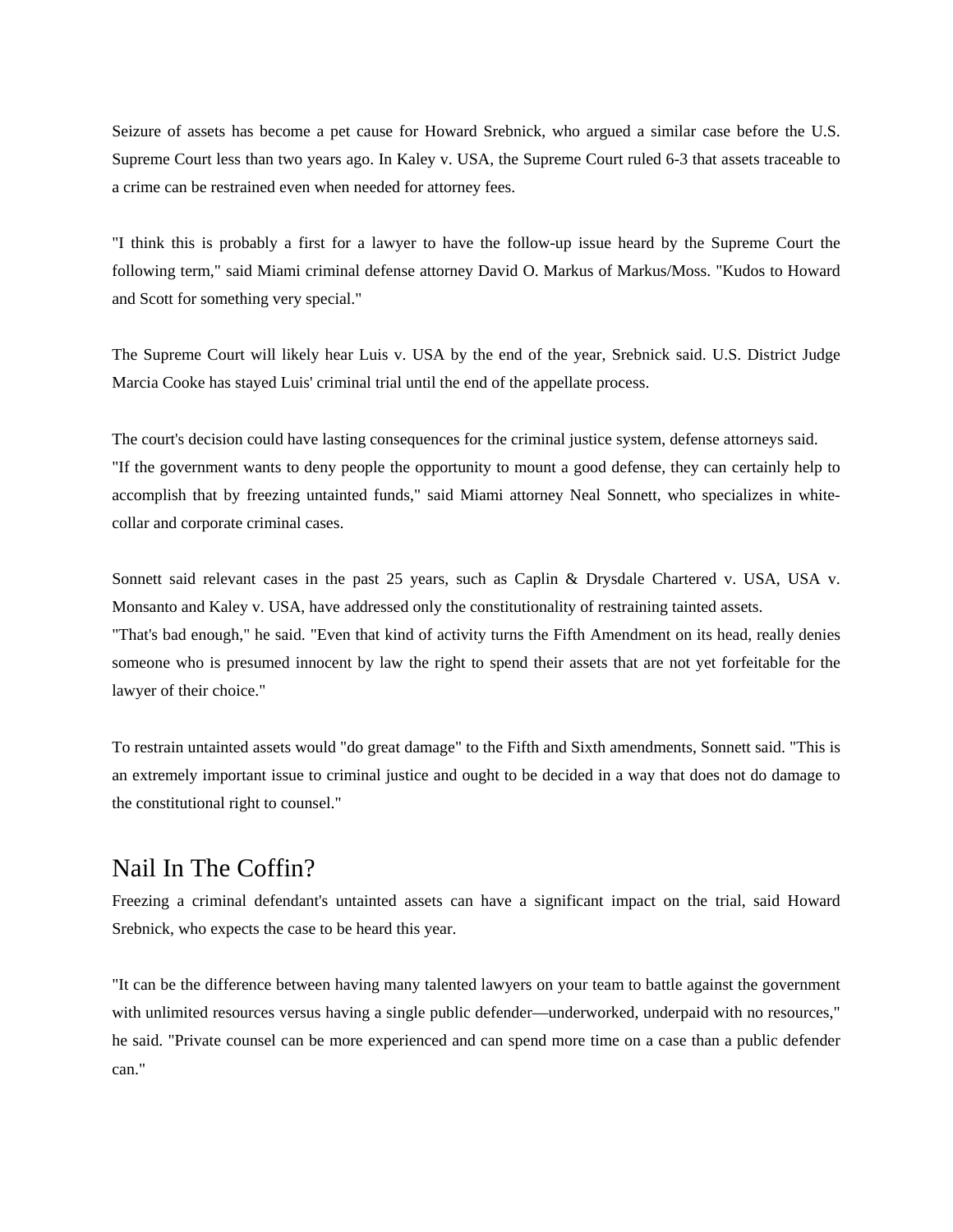Seizure of assets has become a pet cause for Howard Srebnick, who argued a similar case before the U.S. Supreme Court less than two years ago. In Kaley v. USA, the Supreme Court ruled 6-3 that assets traceable to a crime can be restrained even when needed for attorney fees.

"I think this is probably a first for a lawyer to have the follow-up issue heard by the Supreme Court the following term," said Miami criminal defense attorney David O. Markus of Markus/Moss. "Kudos to Howard and Scott for something very special."

The Supreme Court will likely hear Luis v. USA by the end of the year, Srebnick said. U.S. District Judge Marcia Cooke has stayed Luis' criminal trial until the end of the appellate process.

The court's decision could have lasting consequences for the criminal justice system, defense attorneys said. "If the government wants to deny people the opportunity to mount a good defense, they can certainly help to accomplish that by freezing untainted funds," said Miami attorney Neal Sonnett, who specializes in whitecollar and corporate criminal cases.

Sonnett said relevant cases in the past 25 years, such as Caplin & Drysdale Chartered v. USA, USA v. Monsanto and Kaley v. USA, have addressed only the constitutionality of restraining tainted assets. "That's bad enough," he said. "Even that kind of activity turns the Fifth Amendment on its head, really denies someone who is presumed innocent by law the right to spend their assets that are not yet forfeitable for the lawyer of their choice."

To restrain untainted assets would "do great damage" to the Fifth and Sixth amendments, Sonnett said. "This is an extremely important issue to criminal justice and ought to be decided in a way that does not do damage to the constitutional right to counsel."

## Nail In The Coffin?

Freezing a criminal defendant's untainted assets can have a significant impact on the trial, said Howard Srebnick, who expects the case to be heard this year.

"It can be the difference between having many talented lawyers on your team to battle against the government with unlimited resources versus having a single public defender—underworked, underpaid with no resources," he said. "Private counsel can be more experienced and can spend more time on a case than a public defender can."